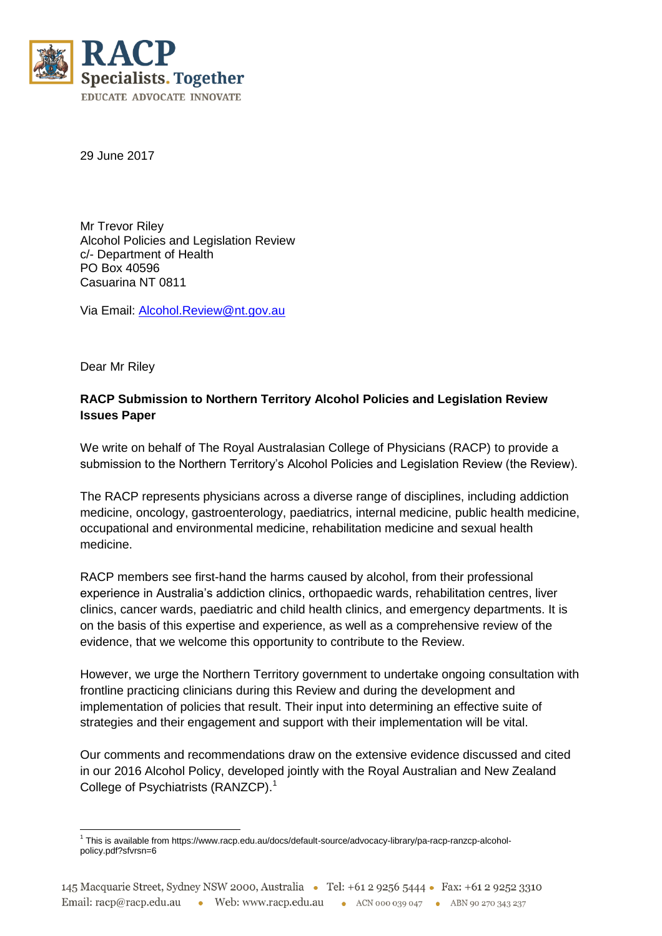

29 June 2017

Mr Trevor Riley Alcohol Policies and Legislation Review c/- Department of Health PO Box 40596 Casuarina NT 0811

Via Email: [Alcohol.Review@nt.gov.au](mailto:Alcohol.Review@nt.gov.au)

Dear Mr Riley

# **RACP Submission to Northern Territory Alcohol Policies and Legislation Review Issues Paper**

We write on behalf of The Royal Australasian College of Physicians (RACP) to provide a submission to the Northern Territory's Alcohol Policies and Legislation Review (the Review).

The RACP represents physicians across a diverse range of disciplines, including addiction medicine, oncology, gastroenterology, paediatrics, internal medicine, public health medicine, occupational and environmental medicine, rehabilitation medicine and sexual health medicine.

RACP members see first-hand the harms caused by alcohol, from their professional experience in Australia's addiction clinics, orthopaedic wards, rehabilitation centres, liver clinics, cancer wards, paediatric and child health clinics, and emergency departments. It is on the basis of this expertise and experience, as well as a comprehensive review of the evidence, that we welcome this opportunity to contribute to the Review.

However, we urge the Northern Territory government to undertake ongoing consultation with frontline practicing clinicians during this Review and during the development and implementation of policies that result. Their input into determining an effective suite of strategies and their engagement and support with their implementation will be vital.

Our comments and recommendations draw on the extensive evidence discussed and cited in our 2016 Alcohol Policy, developed jointly with the Royal Australian and New Zealand College of Psychiatrists (RANZCP).<sup>1</sup>

 $\overline{\phantom{a}}$ 1 This is available from https://www.racp.edu.au/docs/default-source/advocacy-library/pa-racp-ranzcp-alcoholpolicy.pdf?sfvrsn=6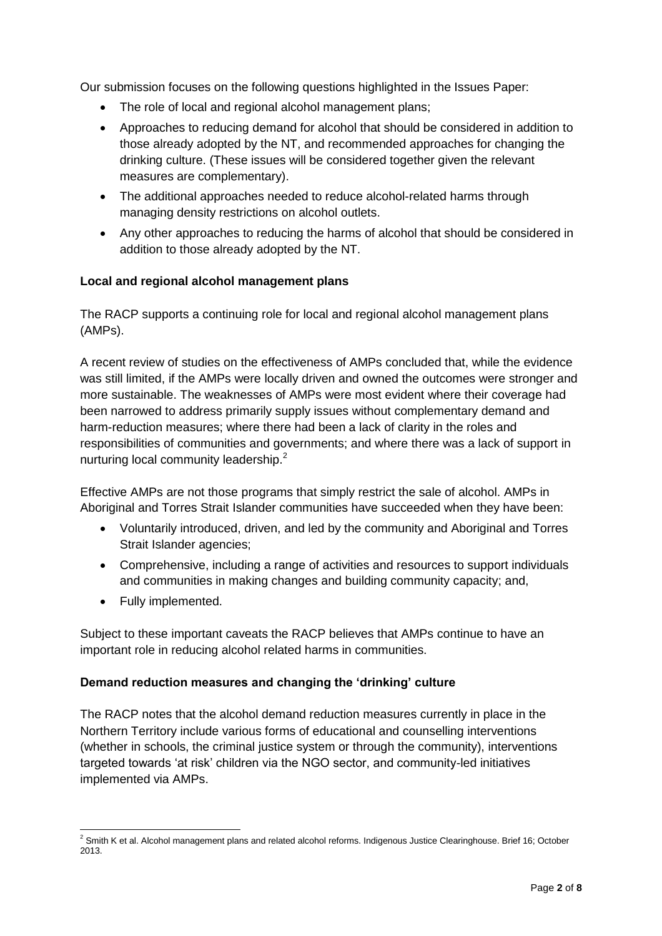Our submission focuses on the following questions highlighted in the Issues Paper:

- The role of local and regional alcohol management plans;
- Approaches to reducing demand for alcohol that should be considered in addition to those already adopted by the NT, and recommended approaches for changing the drinking culture. (These issues will be considered together given the relevant measures are complementary).
- The additional approaches needed to reduce alcohol-related harms through managing density restrictions on alcohol outlets.
- Any other approaches to reducing the harms of alcohol that should be considered in addition to those already adopted by the NT.

# **Local and regional alcohol management plans**

The RACP supports a continuing role for local and regional alcohol management plans (AMPs).

A recent review of studies on the effectiveness of AMPs concluded that, while the evidence was still limited, if the AMPs were locally driven and owned the outcomes were stronger and more sustainable. The weaknesses of AMPs were most evident where their coverage had been narrowed to address primarily supply issues without complementary demand and harm-reduction measures; where there had been a lack of clarity in the roles and responsibilities of communities and governments; and where there was a lack of support in nurturing local community leadership.<sup>2</sup>

Effective AMPs are not those programs that simply restrict the sale of alcohol. AMPs in Aboriginal and Torres Strait Islander communities have succeeded when they have been:

- Voluntarily introduced, driven, and led by the community and Aboriginal and Torres Strait Islander agencies;
- Comprehensive, including a range of activities and resources to support individuals and communities in making changes and building community capacity; and,
- Fully implemented.

Subject to these important caveats the RACP believes that AMPs continue to have an important role in reducing alcohol related harms in communities.

### **Demand reduction measures and changing the 'drinking' culture**

The RACP notes that the alcohol demand reduction measures currently in place in the Northern Territory include various forms of educational and counselling interventions (whether in schools, the criminal justice system or through the community), interventions targeted towards 'at risk' children via the NGO sector, and community-led initiatives implemented via AMPs.

 $\overline{\phantom{a}}$  $^2$  Smith K et al. Alcohol management plans and related alcohol reforms. Indigenous Justice Clearinghouse. Brief 16; October 2013.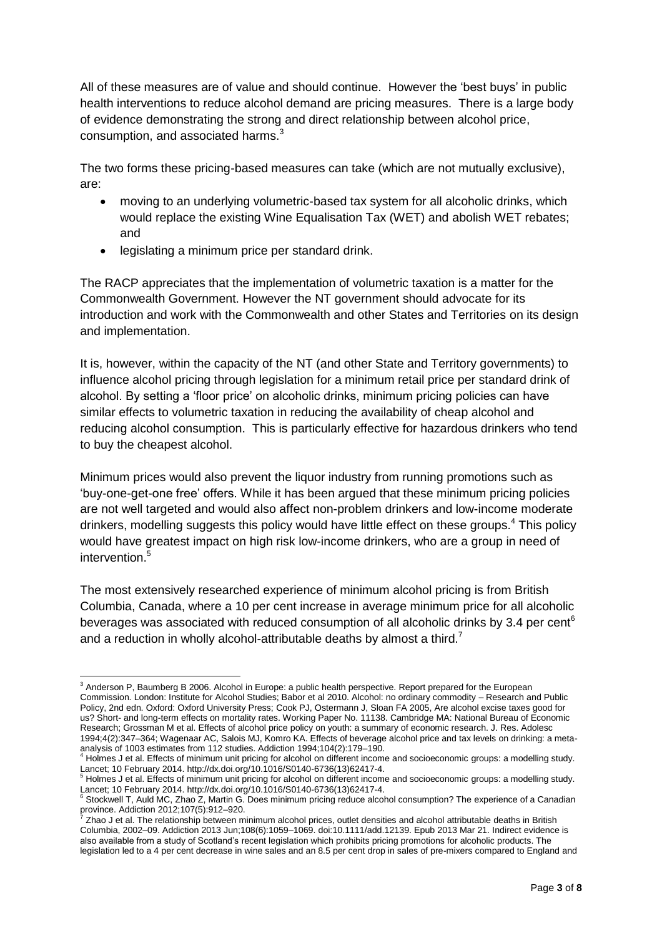All of these measures are of value and should continue. However the 'best buys' in public health interventions to reduce alcohol demand are pricing measures. There is a large body of evidence demonstrating the strong and direct relationship between alcohol price, consumption, and associated harms.<sup>3</sup>

The two forms these pricing-based measures can take (which are not mutually exclusive), are:

- moving to an underlying volumetric-based tax system for all alcoholic drinks, which would replace the existing Wine Equalisation Tax (WET) and abolish WET rebates; and
- legislating a minimum price per standard drink.

The RACP appreciates that the implementation of volumetric taxation is a matter for the Commonwealth Government. However the NT government should advocate for its introduction and work with the Commonwealth and other States and Territories on its design and implementation.

It is, however, within the capacity of the NT (and other State and Territory governments) to influence alcohol pricing through legislation for a minimum retail price per standard drink of alcohol. By setting a 'floor price' on alcoholic drinks, minimum pricing policies can have similar effects to volumetric taxation in reducing the availability of cheap alcohol and reducing alcohol consumption. This is particularly effective for hazardous drinkers who tend to buy the cheapest alcohol.

Minimum prices would also prevent the liquor industry from running promotions such as 'buy-one-get-one free' offers. While it has been argued that these minimum pricing policies are not well targeted and would also affect non-problem drinkers and low-income moderate drinkers, modelling suggests this policy would have little effect on these groups.<sup>4</sup> This policy would have greatest impact on high risk low-income drinkers, who are a group in need of intervention.<sup>5</sup>

The most extensively researched experience of minimum alcohol pricing is from British Columbia, Canada, where a 10 per cent increase in average minimum price for all alcoholic beverages was associated with reduced consumption of all alcoholic drinks by 3.4 per cent<sup>6</sup> and a reduction in wholly alcohol-attributable deaths by almost a third.<sup>7</sup>

 $\overline{\phantom{a}}$  $3$  Anderson P, Baumberg B 2006. Alcohol in Europe: a public health perspective. Report prepared for the European Commission. London: Institute for Alcohol Studies; Babor et al 2010. Alcohol: no ordinary commodity – Research and Public Policy, 2nd edn. Oxford: Oxford University Press; Cook PJ, Ostermann J, Sloan FA 2005, Are alcohol excise taxes good for us? Short- and long-term effects on mortality rates. Working Paper No. 11138. Cambridge MA: National Bureau of Economic Research; Grossman M et al. Effects of alcohol price policy on youth: a summary of economic research. J. Res. Adolesc 1994;4(2):347–364; Wagenaar AC, Salois MJ, Komro KA. Effects of beverage alcohol price and tax levels on drinking: a metaanalysis of 1003 estimates from 112 studies. Addiction 1994;104(2):179–190.

<sup>4</sup> Holmes J et al. Effects of minimum unit pricing for alcohol on different income and socioeconomic groups: a modelling study.

Lancet; 10 February 2014. http://dx.doi.org/10.1016/S0140-6736(13)62417-4.<br><sup>5</sup> Holmes J et al. Effects of minimum unit pricing for alcohol on different income and socioeconomic groups: a modelling study.

Lancet; 10 February 2014. http://dx.doi.org/10.1016/S0140-6736(13)62417-4.<br><sup>6</sup> Stockwell T, Auld MC, Zhao Z, Martin G. Does minimum pricing reduce alcohol consumption? The experience of a Canadian province. Addiction 2012;107(5):912–920. 7

Zhao J et al. The relationship between minimum alcohol prices, outlet densities and alcohol attributable deaths in British Columbia, 2002–09. Addiction 2013 Jun;108(6):1059–1069. doi:10.1111/add.12139. Epub 2013 Mar 21. Indirect evidence is also available from a study of Scotland's recent legislation which prohibits pricing promotions for alcoholic products. The legislation led to a 4 per cent decrease in wine sales and an 8.5 per cent drop in sales of pre-mixers compared to England and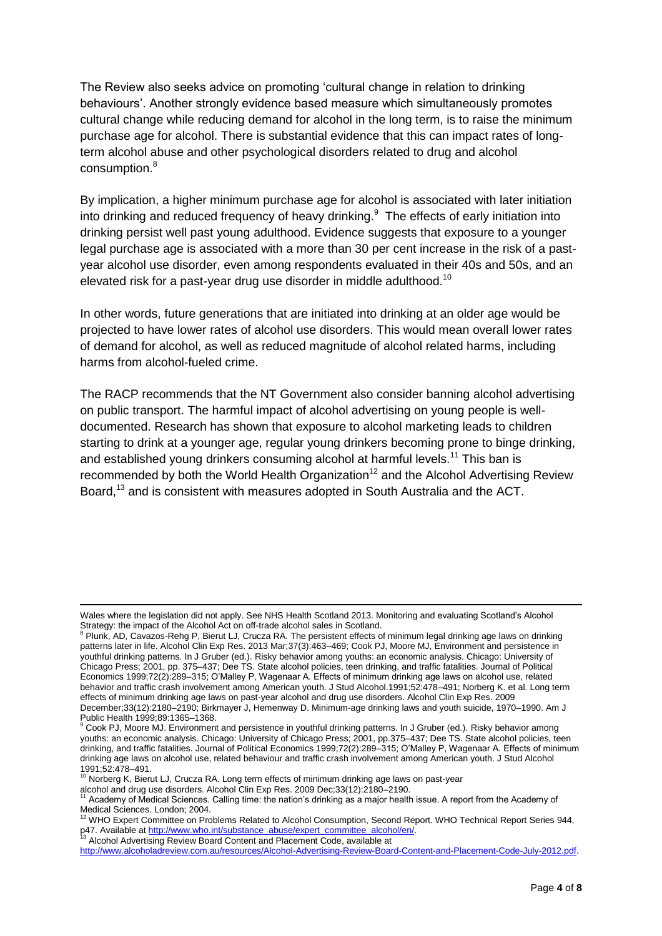The Review also seeks advice on promoting 'cultural change in relation to drinking behaviours'. Another strongly evidence based measure which simultaneously promotes cultural change while reducing demand for alcohol in the long term, is to raise the minimum purchase age for alcohol. There is substantial evidence that this can impact rates of longterm alcohol abuse and other psychological disorders related to drug and alcohol consumption.<sup>8</sup>

By implication, a higher minimum purchase age for alcohol is associated with later initiation into drinking and reduced frequency of heavy drinking. $9$  The effects of early initiation into drinking persist well past young adulthood. Evidence suggests that exposure to a younger legal purchase age is associated with a more than 30 per cent increase in the risk of a pastyear alcohol use disorder, even among respondents evaluated in their 40s and 50s, and an elevated risk for a past-year drug use disorder in middle adulthood.<sup>10</sup>

In other words, future generations that are initiated into drinking at an older age would be projected to have lower rates of alcohol use disorders. This would mean overall lower rates of demand for alcohol, as well as reduced magnitude of alcohol related harms, including harms from alcohol-fueled crime.

The RACP recommends that the NT Government also consider banning alcohol advertising on public transport. The harmful impact of alcohol advertising on young people is welldocumented. Research has shown that exposure to alcohol marketing leads to children starting to drink at a younger age, regular young drinkers becoming prone to binge drinking, and established young drinkers consuming alcohol at harmful levels.<sup>11</sup> This ban is recommended by both the World Health Organization<sup>12</sup> and the Alcohol Advertising Review Board,<sup>13</sup> and is consistent with measures adopted in South Australia and the ACT.

 $\overline{a}$ 

Wales where the legislation did not apply. See NHS Health Scotland 2013. Monitoring and evaluating Scotland's Alcohol Strategy: the impact of the Alcohol Act on off-trade alcohol sales in Scotland.<br><sup>8</sup> Plunk, AD, Cavazos-Rehg P, Bierut LJ, Crucza RA. The persistent effects of minimum legal drinking age laws on drinking

patterns later in life. Alcohol Clin Exp Res. 2013 Mar;37(3):463–469; Cook PJ, Moore MJ, Environment and persistence in youthful drinking patterns. In J Gruber (ed.). Risky behavior among youths: an economic analysis. Chicago: University of Chicago Press; 2001, pp. 375–437; Dee TS. State alcohol policies, teen drinking, and traffic fatalities. Journal of Political Economics 1999;72(2):289–315; O'Malley P, Wagenaar A. Effects of minimum drinking age laws on alcohol use, related behavior and traffic crash involvement among American youth. J Stud Alcohol.1991;52:478–491; Norberg K. et al. Long term effects of minimum drinking age laws on past-year alcohol and drug use disorders. Alcohol Clin Exp Res. 2009 December;33(12):2180–2190; Birkmayer J, Hemenway D. Minimum-age drinking laws and youth suicide, 1970–1990. Am J

Public Health 1999;89:1365–1368.<br><sup>9</sup> Cook PJ, Moore MJ. Environment and persistence in youthful drinking patterns. In J Gruber (ed.). Risky behavior among youths: an economic analysis. Chicago: University of Chicago Press; 2001, pp.375–437; Dee TS. State alcohol policies, teen drinking, and traffic fatalities. Journal of Political Economics 1999;72(2):289–315; O'Malley P, Wagenaar A. Effects of minimum drinking age laws on alcohol use, related behaviour and traffic crash involvement among American youth. J Stud Alcohol

<sup>1991;52:478–491.</sup> <sup>10</sup> Norberg K, Bierut LJ, Crucza RA. Long term effects of minimum drinking age laws on past-year

alcohol and drug use disorders. Alcohol Clin Exp Res. 2009 Dec;33(12):2180–2190.

 $1$  Academy of Medical Sciences. Calling time: the nation's drinking as a major health issue. A report from the Academy of

Medical Sciences. London; 2004.<br><sup>12</sup> WHO Expert Committee on Problems Related to Alcohol Consumption, Second Report. WHO Technical Report Series 944, p47. Available at <u>http://www.who.int/substance\_abuse/expert\_committee\_alcohol/en/</u>.<br><sup>13</sup> Alcohol Advertising Review Board Content and Placement Code, available at

[http://www.alcoholadreview.com.au/resources/Alcohol-Advertising-Review-Board-Content-and-Placement-Code-July-2012.pdf.](http://www.alcoholadreview.com.au/resources/Alcohol-Advertising-Review-Board-Content-and-Placement-Code-July-2012.pdf)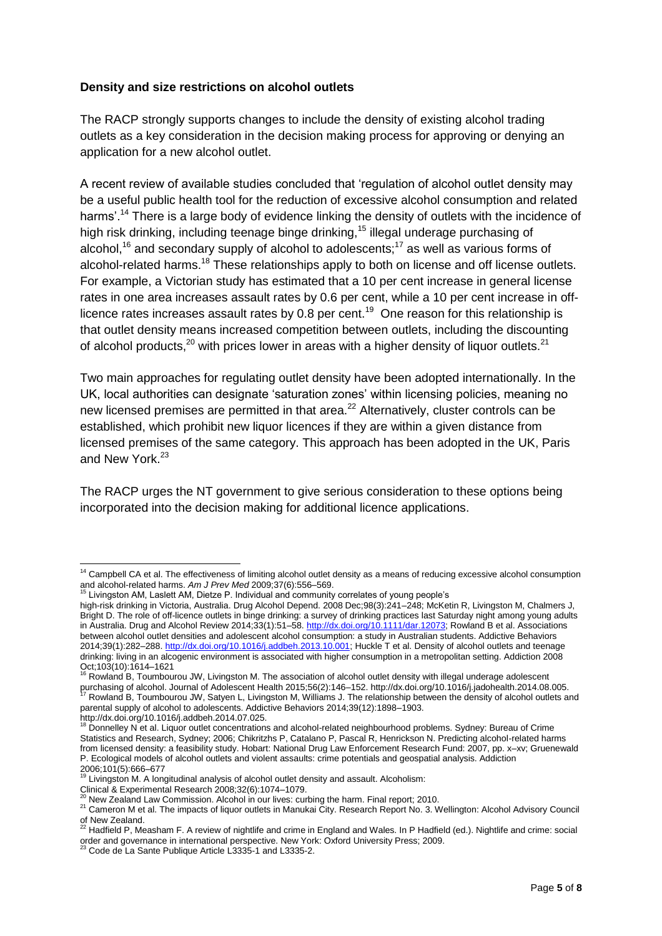### **Density and size restrictions on alcohol outlets**

The RACP strongly supports changes to include the density of existing alcohol trading outlets as a key consideration in the decision making process for approving or denying an application for a new alcohol outlet.

A recent review of available studies concluded that 'regulation of alcohol outlet density may be a useful public health tool for the reduction of excessive alcohol consumption and related harms'.<sup>14</sup> There is a large body of evidence linking the density of outlets with the incidence of high risk drinking, including teenage binge drinking,<sup>15</sup> illegal underage purchasing of alcohol,<sup>16</sup> and secondary supply of alcohol to adolescents;<sup>17</sup> as well as various forms of alcohol-related harms.<sup>18</sup> These relationships apply to both on license and off license outlets. For example, a Victorian study has estimated that a 10 per cent increase in general license rates in one area increases assault rates by 0.6 per cent, while a 10 per cent increase in offlicence rates increases assault rates by 0.8 per cent.<sup>19</sup> One reason for this relationship is that outlet density means increased competition between outlets, including the discounting of alcohol products,<sup>20</sup> with prices lower in areas with a higher density of liquor outlets.<sup>21</sup>

Two main approaches for regulating outlet density have been adopted internationally. In the UK, local authorities can designate 'saturation zones' within licensing policies, meaning no new licensed premises are permitted in that area.<sup>22</sup> Alternatively, cluster controls can be established, which prohibit new liquor licences if they are within a given distance from licensed premises of the same category. This approach has been adopted in the UK, Paris and New York.<sup>23</sup>

The RACP urges the NT government to give serious consideration to these options being incorporated into the decision making for additional licence applications.

Rowland B, Toumbourou JW, Livingston M. The association of alcohol outlet density with illegal underage adolescent purchasing of alcohol. Journal of Adolescent Health 2015;56(2):146–152. http://dx.doi.org/10.1016/j.jadohealth.2014.08.005.

 $\overline{\phantom{a}}$ <sup>14</sup> Campbell CA et al. The effectiveness of limiting alcohol outlet density as a means of reducing excessive alcohol consumption and alcohol-related harms. *Am J Prev Med* 2009;37(6):556–569.

Livingston AM, Laslett AM, Dietze P. Individual and community correlates of young people's

high-risk drinking in Victoria, Australia. Drug Alcohol Depend. 2008 Dec;98(3):241–248; McKetin R, Livingston M, Chalmers J, Bright D. The role of off-licence outlets in binge drinking: a survey of drinking practices last Saturday night among young adults in Australia. Drug and Alcohol Review 2014;33(1):51–58[. http://dx.doi.org/10.1111/dar.12073;](http://dx.doi.org/10.1111/dar.12073) Rowland B et al. Associations between alcohol outlet densities and adolescent alcohol consumption: a study in Australian students. Addictive Behaviors 2014;39(1):282–288[. http://dx.doi.org/10.1016/j.addbeh.2013.10.001;](http://dx.doi.org/10.1016/j.addbeh.2013.10.001) Huckle T et al. Density of alcohol outlets and teenage drinking: living in an alcogenic environment is associated with higher consumption in a metropolitan setting. Addiction 2008 Oct;103(10):1614–1621

Rowland B, Toumbourou JW, Satyen L, Livingston M, Williams J. The relationship between the density of alcohol outlets and parental supply of alcohol to adolescents. Addictive Behaviors 2014;39(12):1898–1903.

http://dx.doi.org/10.1016/j.addbeh.2014.07.025.<br><sup>18</sup> Donnelley N et al. Liquor outlet concentrations and alcohol-related neighbourhood problems. Sydney: Bureau of Crime Statistics and Research, Sydney; 2006; Chikritzhs P, Catalano P, Pascal R, Henrickson N. Predicting alcohol-related harms from licensed density: a feasibility study. Hobart: National Drug Law Enforcement Research Fund: 2007, pp. x–xv; Gruenewald P. Ecological models of alcohol outlets and violent assaults: crime potentials and geospatial analysis. Addiction 2006;101(5):666–677<br><sup>19</sup> Livinast

Livingston M. A longitudinal analysis of alcohol outlet density and assault. Alcoholism: Clinical & Experimental Research 2008;32(6):1074–1079.

 $2^{\circ}$  New Zealand Law Commission. Alcohol in our lives: curbing the harm. Final report: 2010.

<sup>21</sup> Cameron M et al. The impacts of liquor outlets in Manukai City. Research Report No. 3. Wellington: Alcohol Advisory Council

of New Zealand.<br><sup>22</sup> Hadfield P, Measham F. A review of nightlife and crime in England and Wales. In P Hadfield (ed.). Nightlife and crime: social order and governance in international perspective. New York: Oxford University Press; 2009.<br><sup>23</sup> Code de La Sante Publique Article L3335-1 and L3335-2.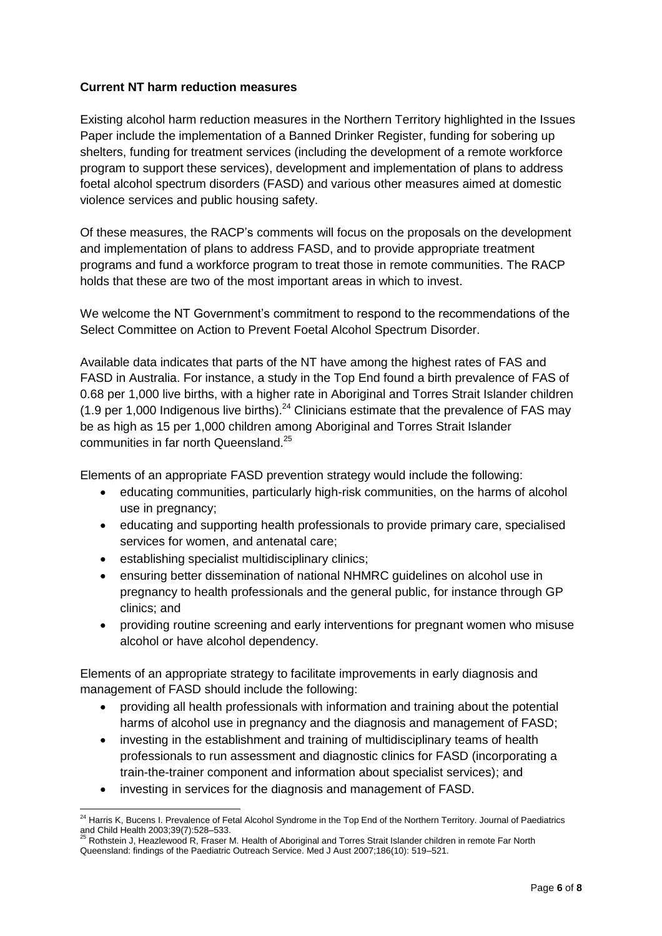## **Current NT harm reduction measures**

Existing alcohol harm reduction measures in the Northern Territory highlighted in the Issues Paper include the implementation of a Banned Drinker Register, funding for sobering up shelters, funding for treatment services (including the development of a remote workforce program to support these services), development and implementation of plans to address foetal alcohol spectrum disorders (FASD) and various other measures aimed at domestic violence services and public housing safety.

Of these measures, the RACP's comments will focus on the proposals on the development and implementation of plans to address FASD, and to provide appropriate treatment programs and fund a workforce program to treat those in remote communities. The RACP holds that these are two of the most important areas in which to invest.

We welcome the NT Government's commitment to respond to the recommendations of the Select Committee on Action to Prevent Foetal Alcohol Spectrum Disorder.

Available data indicates that parts of the NT have among the highest rates of FAS and FASD in Australia. For instance, a study in the Top End found a birth prevalence of FAS of 0.68 per 1,000 live births, with a higher rate in Aboriginal and Torres Strait Islander children (1.9 per 1,000 Indigenous live births).<sup>24</sup> Clinicians estimate that the prevalence of FAS may be as high as 15 per 1,000 children among Aboriginal and Torres Strait Islander communities in far north Queensland.<sup>25</sup>

Elements of an appropriate FASD prevention strategy would include the following:

- educating communities, particularly high-risk communities, on the harms of alcohol use in pregnancy;
- educating and supporting health professionals to provide primary care, specialised services for women, and antenatal care;
- establishing specialist multidisciplinary clinics;

 $\overline{\phantom{a}}$ 

- ensuring better dissemination of national NHMRC guidelines on alcohol use in pregnancy to health professionals and the general public, for instance through GP clinics; and
- providing routine screening and early interventions for pregnant women who misuse alcohol or have alcohol dependency.

Elements of an appropriate strategy to facilitate improvements in early diagnosis and management of FASD should include the following:

- providing all health professionals with information and training about the potential harms of alcohol use in pregnancy and the diagnosis and management of FASD;
- investing in the establishment and training of multidisciplinary teams of health professionals to run assessment and diagnostic clinics for FASD (incorporating a train-the-trainer component and information about specialist services); and
- investing in services for the diagnosis and management of FASD.

<sup>&</sup>lt;sup>24</sup> Harris K, Bucens I. Prevalence of Fetal Alcohol Syndrome in the Top End of the Northern Territory. Journal of Paediatrics and Child Health 2003;39(7):528–533.<br><sup>25</sup> Rothstein J, Heazlewood R, Fraser M. Health of Aboriginal and Torres Strait Islander children in remote Far North

Queensland: findings of the Paediatric Outreach Service. Med J Aust 2007;186(10): 519–521.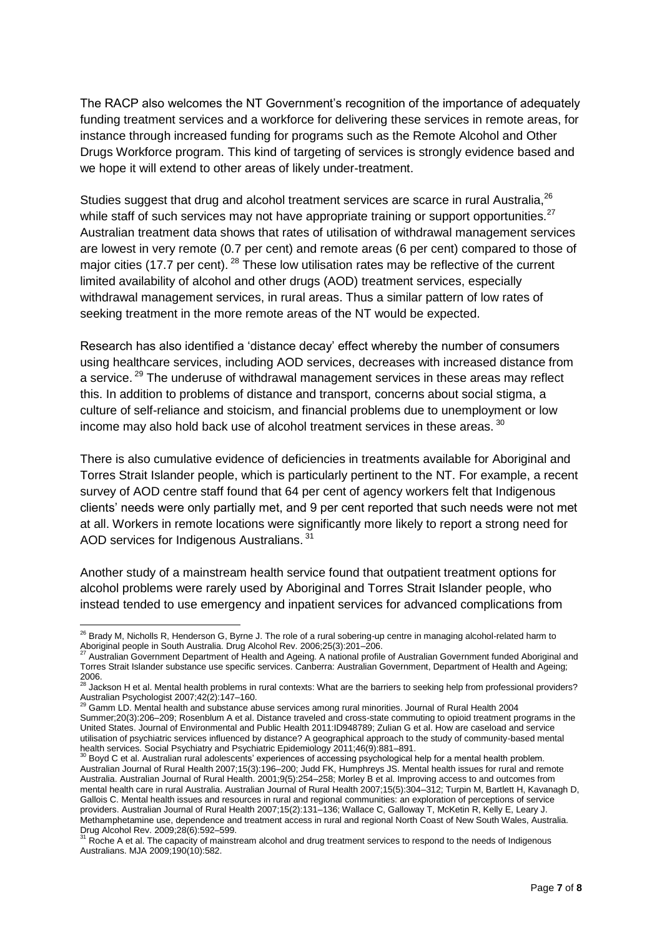The RACP also welcomes the NT Government's recognition of the importance of adequately funding treatment services and a workforce for delivering these services in remote areas, for instance through increased funding for programs such as the Remote Alcohol and Other Drugs Workforce program. This kind of targeting of services is strongly evidence based and we hope it will extend to other areas of likely under-treatment.

Studies suggest that drug and alcohol treatment services are scarce in rural Australia,<sup>26</sup> while staff of such services may not have appropriate training or support opportunities.<sup>27</sup> Australian treatment data shows that rates of utilisation of withdrawal management services are lowest in very remote (0.7 per cent) and remote areas (6 per cent) compared to those of major cities (17.7 per cent). <sup>28</sup> These low utilisation rates may be reflective of the current limited availability of alcohol and other drugs (AOD) treatment services, especially withdrawal management services, in rural areas. Thus a similar pattern of low rates of seeking treatment in the more remote areas of the NT would be expected.

Research has also identified a 'distance decay' effect whereby the number of consumers using healthcare services, including AOD services, decreases with increased distance from a service.<sup>29</sup> The underuse of withdrawal management services in these areas may reflect this. In addition to problems of distance and transport, concerns about social stigma, a culture of self-reliance and stoicism, and financial problems due to unemployment or low income may also hold back use of alcohol treatment services in these areas.  $^{30}$ 

There is also cumulative evidence of deficiencies in treatments available for Aboriginal and Torres Strait Islander people, which is particularly pertinent to the NT. For example, a recent survey of AOD centre staff found that 64 per cent of agency workers felt that Indigenous clients' needs were only partially met, and 9 per cent reported that such needs were not met at all. Workers in remote locations were significantly more likely to report a strong need for AOD services for Indigenous Australians.<sup>31</sup>

Another study of a mainstream health service found that outpatient treatment options for alcohol problems were rarely used by Aboriginal and Torres Strait Islander people, who instead tended to use emergency and inpatient services for advanced complications from

 $\overline{\phantom{a}}$  $^{26}$  Brady M, Nicholls R, Henderson G, Byrne J. The role of a rural sobering-up centre in managing alcohol-related harm to Aboriginal people in South Australia. Drug Alcohol Rev. 2006;25(3):201–206.

<sup>27</sup> Australian Government Department of Health and Ageing. A national profile of Australian Government funded Aboriginal and Torres Strait Islander substance use specific services. Canberra: Australian Government, Department of Health and Ageing; 2006.<br><sup>28</sup> Jackson H et al. Mental health problems in rural contexts: What are the barriers to seeking help from professional providers?

Australian Psychologist 2007;42(2):147–160.

<sup>29</sup> Gamm LD. Mental health and substance abuse services among rural minorities. Journal of Rural Health 2004 Summer;20(3):206–209; Rosenblum A et al. Distance traveled and cross-state commuting to opioid treatment programs in the United States. Journal of Environmental and Public Health 2011:ID948789; Zulian G et al. How are caseload and service utilisation of psychiatric services influenced by distance? A geographical approach to the study of community-based mental health services. Social Psychiatry and Psychiatric Epidemiology 2011;46(9):881–891.

<sup>&</sup>lt;sup>30</sup> Boyd C et al. Australian rural adolescents' experiences of accessing psychological help for a mental health problem. Australian Journal of Rural Health 2007;15(3):196–200; Judd FK, Humphreys JS. Mental health issues for rural and remote Australia. Australian Journal of Rural Health. 2001;9(5):254–258; Morley B et al. Improving access to and outcomes from mental health care in rural Australia. Australian Journal of Rural Health 2007;15(5):304–312; Turpin M, Bartlett H, Kavanagh D, Gallois C. Mental health issues and resources in rural and regional communities: an exploration of perceptions of service providers. Australian Journal of Rural Health 2007;15(2):131–136; Wallace C, Galloway T, McKetin R, Kelly E, Leary J. Methamphetamine use, dependence and treatment access in rural and regional North Coast of New South Wales, Australia.

Drug Alcohol Rev. 2009;28(6):592–599.<br><sup>31</sup> Roche A et al. The capacity of mainstream alcohol and drug treatment services to respond to the needs of Indigenous Australians. MJA 2009;190(10):582.